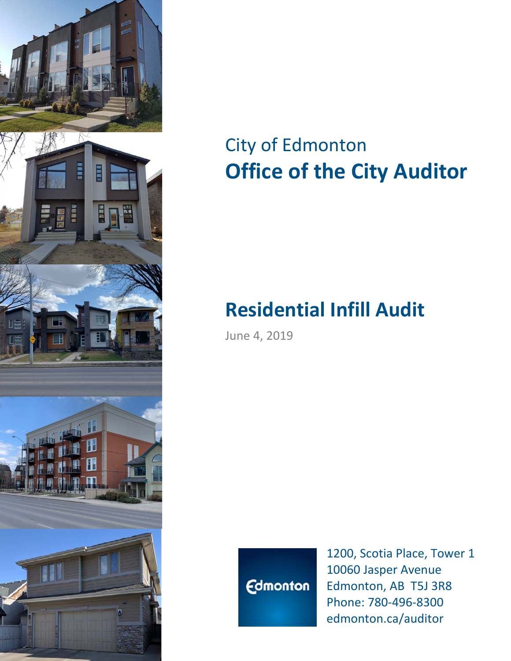

# City of Edmonton **Office of the City Auditor**

# **Residential Infill Audit**

June 4, 2019



1200, Scotia Place, Tower 1 10060 Jasper Avenue Edmonton, AB T5J 3R8 Phone: 780-496-8300 edmonton.ca/auditor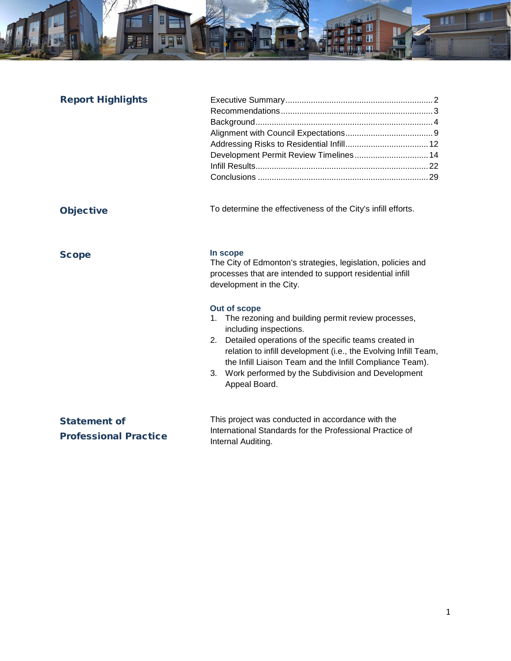

| <b>Report Highlights</b>                            | Development Permit Review Timelines 14                                                                                                                                                                                                                                                                                                |
|-----------------------------------------------------|---------------------------------------------------------------------------------------------------------------------------------------------------------------------------------------------------------------------------------------------------------------------------------------------------------------------------------------|
| <b>Objective</b>                                    | To determine the effectiveness of the City's infill efforts.                                                                                                                                                                                                                                                                          |
| <b>Scope</b>                                        | In scope<br>The City of Edmonton's strategies, legislation, policies and<br>processes that are intended to support residential infill<br>development in the City.<br>Out of scope<br>The rezoning and building permit review processes,<br>1.<br>including inspections.<br>Detailed operations of the specific teams created in<br>2. |
|                                                     | relation to infill development (i.e., the Evolving Infill Team,<br>the Infill Liaison Team and the Infill Compliance Team).<br>Work performed by the Subdivision and Development<br>3.<br>Appeal Board.                                                                                                                               |
| <b>Statement of</b><br><b>Professional Practice</b> | This project was conducted in accordance with the<br>International Standards for the Professional Practice of<br>Internal Auditing.                                                                                                                                                                                                   |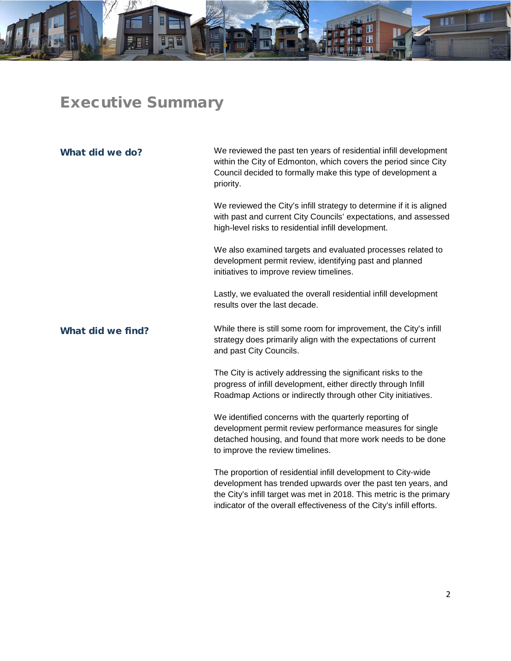

# <span id="page-2-0"></span>Executive Summary

| What did we do?   | We reviewed the past ten years of residential infill development<br>within the City of Edmonton, which covers the period since City<br>Council decided to formally make this type of development a<br>priority.                                                               |
|-------------------|-------------------------------------------------------------------------------------------------------------------------------------------------------------------------------------------------------------------------------------------------------------------------------|
|                   | We reviewed the City's infill strategy to determine if it is aligned<br>with past and current City Councils' expectations, and assessed<br>high-level risks to residential infill development.                                                                                |
|                   | We also examined targets and evaluated processes related to<br>development permit review, identifying past and planned<br>initiatives to improve review timelines.                                                                                                            |
|                   | Lastly, we evaluated the overall residential infill development<br>results over the last decade.                                                                                                                                                                              |
| What did we find? | While there is still some room for improvement, the City's infill<br>strategy does primarily align with the expectations of current<br>and past City Councils.                                                                                                                |
|                   | The City is actively addressing the significant risks to the<br>progress of infill development, either directly through Infill<br>Roadmap Actions or indirectly through other City initiatives.                                                                               |
|                   | We identified concerns with the quarterly reporting of<br>development permit review performance measures for single<br>detached housing, and found that more work needs to be done<br>to improve the review timelines.                                                        |
|                   | The proportion of residential infill development to City-wide<br>development has trended upwards over the past ten years, and<br>the City's infill target was met in 2018. This metric is the primary<br>indicator of the overall effectiveness of the City's infill efforts. |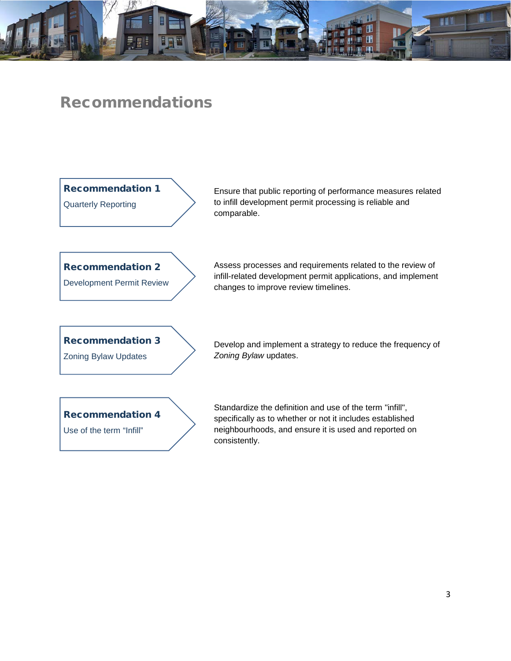

# <span id="page-3-0"></span>Recommendations

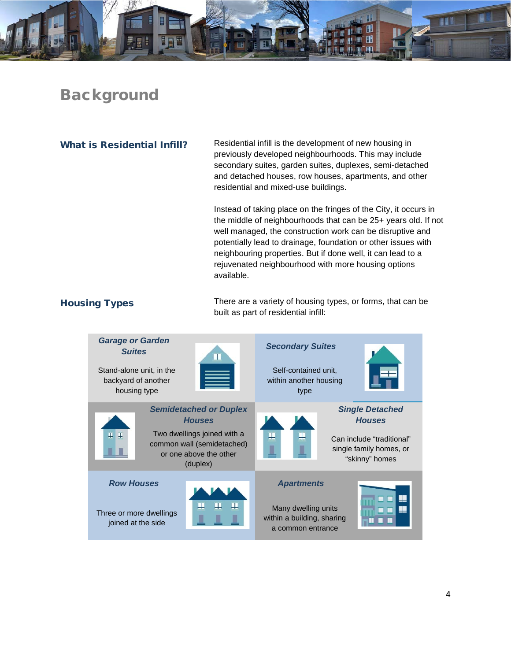

# <span id="page-4-0"></span>Background

What is Residential Infill? Residential infill is the development of new housing in previously developed neighbourhoods. This may include secondary suites, garden suites, duplexes, semi-detached and detached houses, row houses, apartments, and other residential and mixed-use buildings.

> Instead of taking place on the fringes of the City, it occurs in the middle of neighbourhoods that can be 25+ years old. If not well managed, the construction work can be disruptive and potentially lead to drainage, foundation or other issues with neighbouring properties. But if done well, it can lead to a rejuvenated neighbourhood with more housing options available.

Housing Types There are a variety of housing types, or forms, that can be built as part of residential infill:

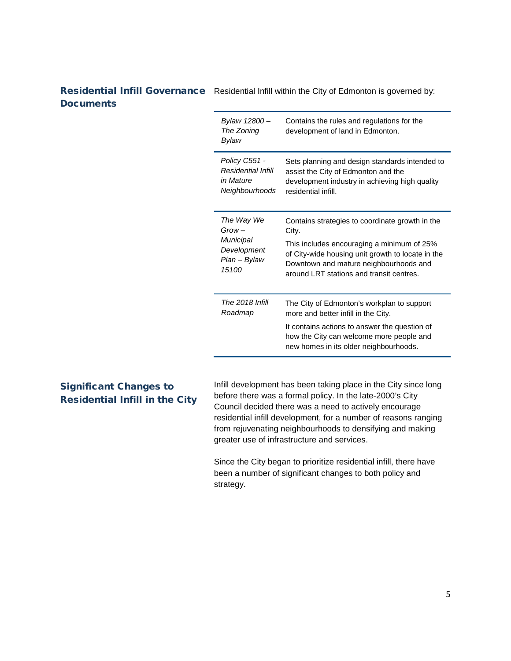# Residential Infill Governance Residential Infill within the City of Edmonton is governed by: **Documents**

| Bylaw 12800 –<br>The Zoning<br>Bylaw | Contains the rules and regulations for the<br>development of land in Edmonton.                                                                                                                                           |
|--------------------------------------|--------------------------------------------------------------------------------------------------------------------------------------------------------------------------------------------------------------------------|
| Policy C551 -                        | Sets planning and design standards intended to                                                                                                                                                                           |
| Residential Infill                   | assist the City of Edmonton and the                                                                                                                                                                                      |
| in Mature                            | development industry in achieving high quality                                                                                                                                                                           |
| Neighbourhoods                       | residential infill.                                                                                                                                                                                                      |
| The Way We                           | Contains strategies to coordinate growth in the                                                                                                                                                                          |
| $Grow -$                             | City.                                                                                                                                                                                                                    |
| Municipal                            | This includes encouraging a minimum of 25%                                                                                                                                                                               |
| Development                          | of City-wide housing unit growth to locate in the                                                                                                                                                                        |
| Plan – Bylaw                         | Downtown and mature neighbourhoods and                                                                                                                                                                                   |
| 15100                                | around LRT stations and transit centres.                                                                                                                                                                                 |
| The 2018 Infill<br>Roadmap           | The City of Edmonton's workplan to support<br>more and better infill in the City.<br>It contains actions to answer the question of<br>how the City can welcome more people and<br>new homes in its older neighbourhoods. |

# Significant Changes to Residential Infill in the City

Infill development has been taking place in the City since long before there was a formal policy. In the late-2000's City Council decided there was a need to actively encourage residential infill development, for a number of reasons ranging from rejuvenating neighbourhoods to densifying and making greater use of infrastructure and services.

Since the City began to prioritize residential infill, there have been a number of significant changes to both policy and strategy.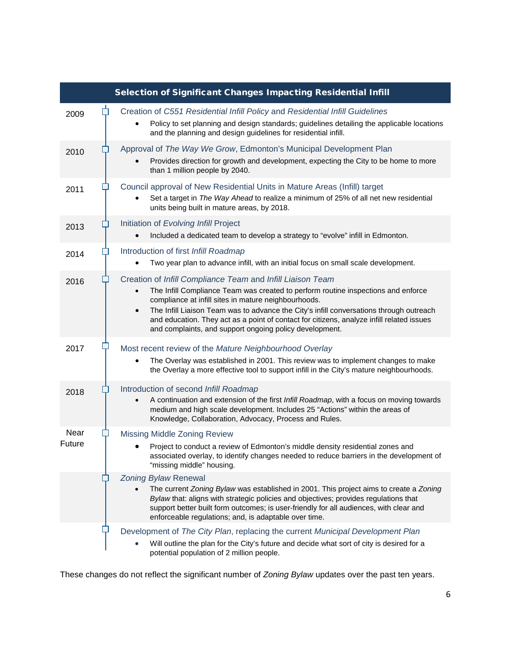|                |        | Selection of Significant Changes Impacting Residential Infill                                                                                                                                                                                                                                                                                                                                                                                                           |
|----------------|--------|-------------------------------------------------------------------------------------------------------------------------------------------------------------------------------------------------------------------------------------------------------------------------------------------------------------------------------------------------------------------------------------------------------------------------------------------------------------------------|
| 2009           | $\Box$ | Creation of C551 Residential Infill Policy and Residential Infill Guidelines<br>Policy to set planning and design standards; guidelines detailing the applicable locations<br>and the planning and design guidelines for residential infill.                                                                                                                                                                                                                            |
| 2010           |        | Approval of The Way We Grow, Edmonton's Municipal Development Plan<br>Provides direction for growth and development, expecting the City to be home to more<br>than 1 million people by 2040.                                                                                                                                                                                                                                                                            |
| 2011           |        | Council approval of New Residential Units in Mature Areas (Infill) target<br>Set a target in The Way Ahead to realize a minimum of 25% of all net new residential<br>units being built in mature areas, by 2018.                                                                                                                                                                                                                                                        |
| 2013           |        | Initiation of Evolving Infill Project<br>Included a dedicated team to develop a strategy to "evolve" infill in Edmonton.                                                                                                                                                                                                                                                                                                                                                |
| 2014           |        | Introduction of first Infill Roadmap<br>Two year plan to advance infill, with an initial focus on small scale development.                                                                                                                                                                                                                                                                                                                                              |
| 2016           |        | Creation of Infill Compliance Team and Infill Liaison Team<br>The Infill Compliance Team was created to perform routine inspections and enforce<br>compliance at infill sites in mature neighbourhoods.<br>The Infill Liaison Team was to advance the City's infill conversations through outreach<br>$\bullet$<br>and education. They act as a point of contact for citizens, analyze infill related issues<br>and complaints, and support ongoing policy development. |
| 2017           |        | Most recent review of the Mature Neighbourhood Overlay<br>The Overlay was established in 2001. This review was to implement changes to make<br>the Overlay a more effective tool to support infill in the City's mature neighbourhoods.                                                                                                                                                                                                                                 |
| 2018           |        | Introduction of second Infill Roadmap<br>A continuation and extension of the first Infill Roadmap, with a focus on moving towards<br>medium and high scale development. Includes 25 "Actions" within the areas of<br>Knowledge, Collaboration, Advocacy, Process and Rules.                                                                                                                                                                                             |
| Near<br>Future |        | <b>Missing Middle Zoning Review</b><br>Project to conduct a review of Edmonton's middle density residential zones and<br>associated overlay, to identify changes needed to reduce barriers in the development of<br>"missing middle" housing.                                                                                                                                                                                                                           |
|                |        | <b>Zoning Bylaw Renewal</b><br>The current Zoning Bylaw was established in 2001. This project aims to create a Zoning<br>Bylaw that: aligns with strategic policies and objectives; provides regulations that<br>support better built form outcomes; is user-friendly for all audiences, with clear and<br>enforceable regulations; and, is adaptable over time.                                                                                                        |
|                |        | Development of The City Plan, replacing the current Municipal Development Plan<br>Will outline the plan for the City's future and decide what sort of city is desired for a<br>potential population of 2 million people.                                                                                                                                                                                                                                                |

These changes do not reflect the significant number of *Zoning Bylaw* updates over the past ten years.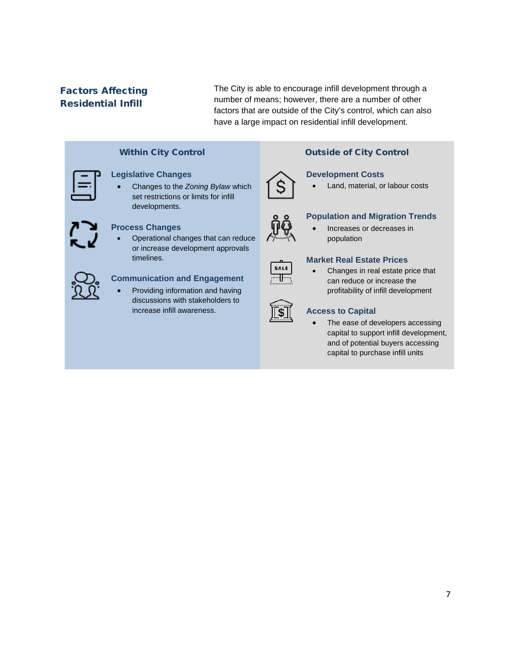# Factors Affecting Residential Infill

The City is able to encourage infill development through a number of means; however, there are a number of other factors that are outside of the City's control, which can also have a large impact on residential infill development.

| <b>Within City Control</b> |                                                                                                                           |
|----------------------------|---------------------------------------------------------------------------------------------------------------------------|
|                            | <b>Legislative Changes</b><br>Changes to the Zoning Bylaw which<br>set restrictions or limits for infill<br>developments. |
|                            | <b>Process Changes</b><br>Operational changes that can reduc                                                              |

can reduce or increase development approvals timelines.



# **Communication and Engagement**

• Providing information and having discussions with stakeholders to increase infill awareness.



# **Outside of City Control**

# **Development Costs**

• Land, material, or labour costs

# **Population and Migration Trends**

# • Increases or decreases in population



# **Market Real Estate Prices**

• Changes in real estate price that can reduce or increase the profitability of infill development

# **Access to Capital**

The ease of developers accessing capital to support infill development, and of potential buyers accessing capital to purchase infill units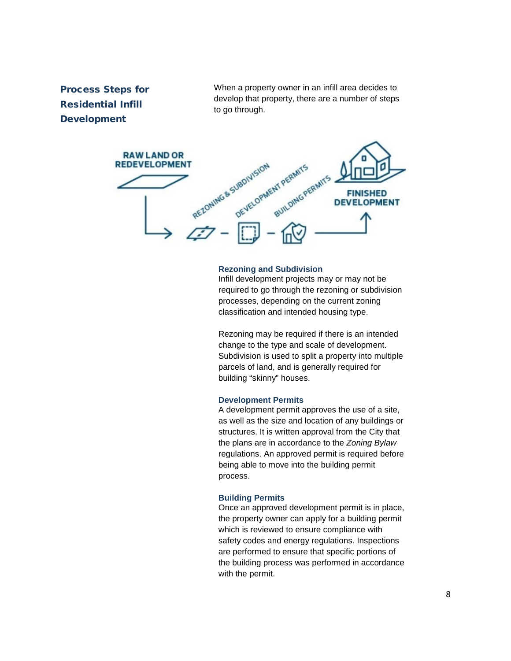# Process Steps for Residential Infill Development

When a property owner in an infill area decides to develop that property, there are a number of steps to go through.



### **Rezoning and Subdivision**

Infill development projects may or may not be required to go through the rezoning or subdivision processes, depending on the current zoning classification and intended housing type.

Rezoning may be required if there is an intended change to the type and scale of development. Subdivision is used to split a property into multiple parcels of land, and is generally required for building "skinny" houses.

### **Development Permits**

A development permit approves the use of a site, as well as the size and location of any buildings or structures. It is written approval from the City that the plans are in accordance to the *Zoning Bylaw* regulations. An approved permit is required before being able to move into the building permit process.

### **Building Permits**

Once an approved development permit is in place, the property owner can apply for a building permit which is reviewed to ensure compliance with safety codes and energy regulations. Inspections are performed to ensure that specific portions of the building process was performed in accordance with the permit.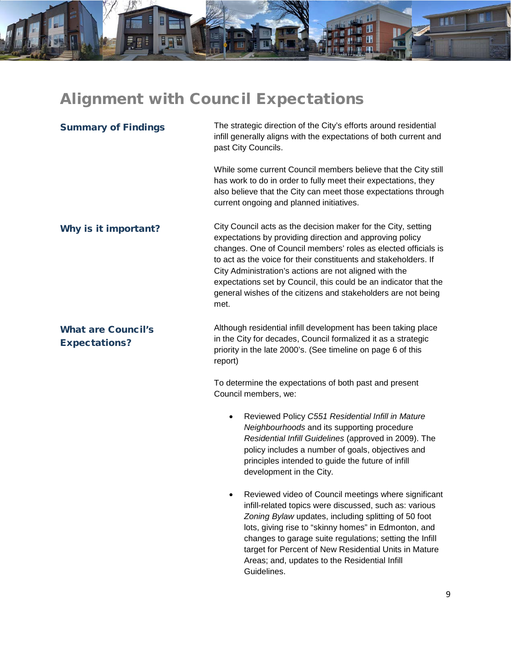# <span id="page-9-0"></span>Alignment with Council Expectations

**THE** 

**I** 

E

目口間

| <b>Summary of Findings</b>                        | The strategic direction of the City's efforts around residential<br>infill generally aligns with the expectations of both current and<br>past City Councils.                                                                                                                                                                                                                                                                                                          |
|---------------------------------------------------|-----------------------------------------------------------------------------------------------------------------------------------------------------------------------------------------------------------------------------------------------------------------------------------------------------------------------------------------------------------------------------------------------------------------------------------------------------------------------|
|                                                   | While some current Council members believe that the City still<br>has work to do in order to fully meet their expectations, they<br>also believe that the City can meet those expectations through<br>current ongoing and planned initiatives.                                                                                                                                                                                                                        |
| Why is it important?                              | City Council acts as the decision maker for the City, setting<br>expectations by providing direction and approving policy<br>changes. One of Council members' roles as elected officials is<br>to act as the voice for their constituents and stakeholders. If<br>City Administration's actions are not aligned with the<br>expectations set by Council, this could be an indicator that the<br>general wishes of the citizens and stakeholders are not being<br>met. |
| <b>What are Council's</b><br><b>Expectations?</b> | Although residential infill development has been taking place<br>in the City for decades, Council formalized it as a strategic<br>priority in the late 2000's. (See timeline on page 6 of this<br>report)                                                                                                                                                                                                                                                             |
|                                                   | To determine the expectations of both past and present<br>Council members, we:                                                                                                                                                                                                                                                                                                                                                                                        |
|                                                   | Reviewed Policy C551 Residential Infill in Mature<br>$\bullet$<br>Neighbourhoods and its supporting procedure<br>Residential Infill Guidelines (approved in 2009). The<br>policy includes a number of goals, objectives and<br>principles intended to guide the future of infill<br>development in the City.                                                                                                                                                          |
|                                                   | Reviewed video of Council meetings where significant<br>infill-related topics were discussed, such as: various<br>Zoning Bylaw updates, including splitting of 50 foot<br>lots, giving rise to "skinny homes" in Edmonton, and<br>changes to garage suite regulations; setting the Infill<br>target for Percent of New Residential Units in Mature<br>Areas; and, updates to the Residential Infill<br>Guidelines.                                                    |

a a t

匣

់ពា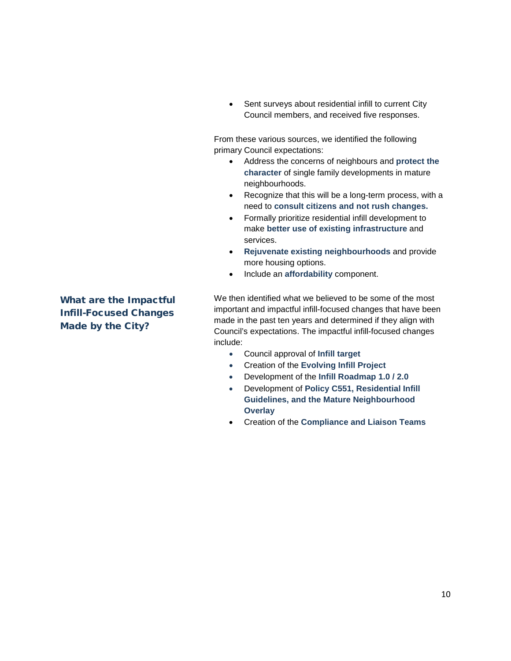• Sent surveys about residential infill to current City Council members, and received five responses.

From these various sources, we identified the following primary Council expectations:

- Address the concerns of neighbours and **protect the character** of single family developments in mature neighbourhoods.
- Recognize that this will be a long-term process, with a need to **consult citizens and not rush changes.**
- Formally prioritize residential infill development to make **better use of existing infrastructure** and services.
- **Rejuvenate existing neighbourhoods** and provide more housing options.
- Include an **affordability** component.

We then identified what we believed to be some of the most important and impactful infill-focused changes that have been made in the past ten years and determined if they align with Council's expectations. The impactful infill-focused changes include:

- Council approval of **Infill target**
- Creation of the **Evolving Infill Project**
- Development of the **Infill Roadmap 1.0 / 2.0**
- Development of **Policy C551, Residential Infill Guidelines, and the Mature Neighbourhood Overlay**
- Creation of the **Compliance and Liaison Teams**

What are the Impactful Infill-Focused Changes Made by the City?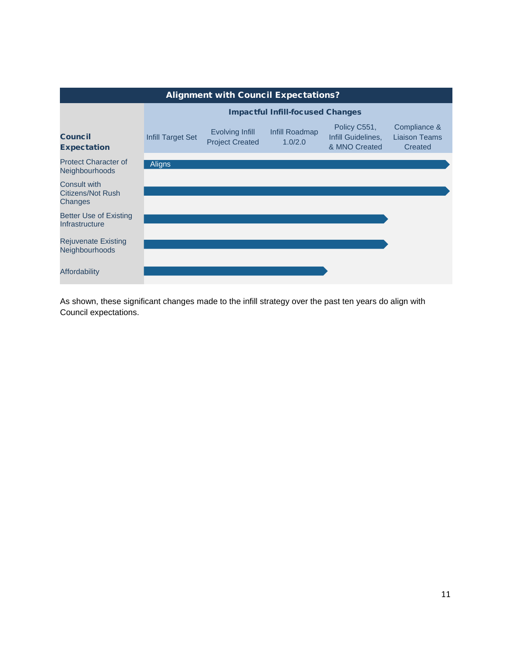

As shown, these significant changes made to the infill strategy over the past ten years do align with Council expectations.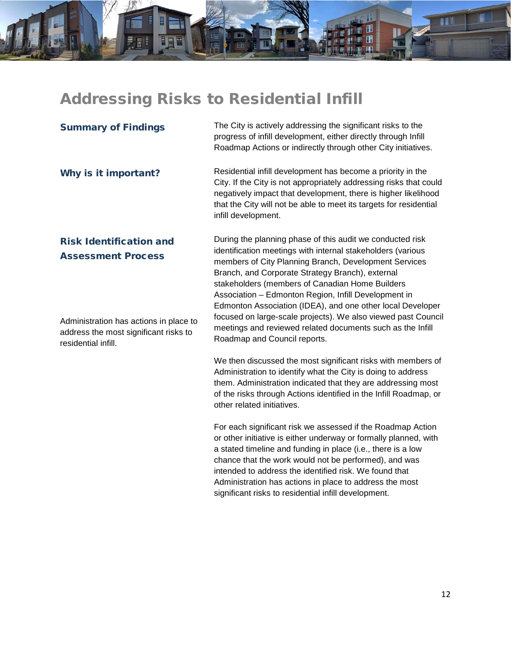# <span id="page-12-0"></span>Addressing Risks to Residential Infill

m

| <b>Summary of Findings</b>                                                                                                                     | The City is actively addressing the significant risks to the<br>progress of infill development, either directly through Infill<br>Roadmap Actions or indirectly through other City initiatives.                                                                                                                                                                                                                                                                                                                                               |
|------------------------------------------------------------------------------------------------------------------------------------------------|-----------------------------------------------------------------------------------------------------------------------------------------------------------------------------------------------------------------------------------------------------------------------------------------------------------------------------------------------------------------------------------------------------------------------------------------------------------------------------------------------------------------------------------------------|
| Why is it important?                                                                                                                           | Residential infill development has become a priority in the<br>City. If the City is not appropriately addressing risks that could<br>negatively impact that development, there is higher likelihood<br>that the City will not be able to meet its targets for residential<br>infill development.                                                                                                                                                                                                                                              |
| <b>Risk Identification and</b><br><b>Assessment Process</b><br>Administration has actions in place to<br>address the most significant risks to | During the planning phase of this audit we conducted risk<br>identification meetings with internal stakeholders (various<br>members of City Planning Branch, Development Services<br>Branch, and Corporate Strategy Branch), external<br>stakeholders (members of Canadian Home Builders<br>Association - Edmonton Region, Infill Development in<br>Edmonton Association (IDEA), and one other local Developer<br>focused on large-scale projects). We also viewed past Council<br>meetings and reviewed related documents such as the Infill |
| residential infill.                                                                                                                            | Roadmap and Council reports.<br>We then discussed the most significant risks with members of<br>Administration to identify what the City is doing to address<br>them. Administration indicated that they are addressing most<br>of the risks through Actions identified in the Infill Roadmap, or<br>other related initiatives.<br>$\Gamma$ ar agab aigmificent riok wa googgaad if the Deadman Action                                                                                                                                        |

For each significant risk we assessed if the Roadmap Action or other initiative is either underway or formally planned, with a stated timeline and funding in place (i.e., there is a low chance that the work would not be performed), and was intended to address the identified risk. We found that Administration has actions in place to address the most significant risks to residential infill development.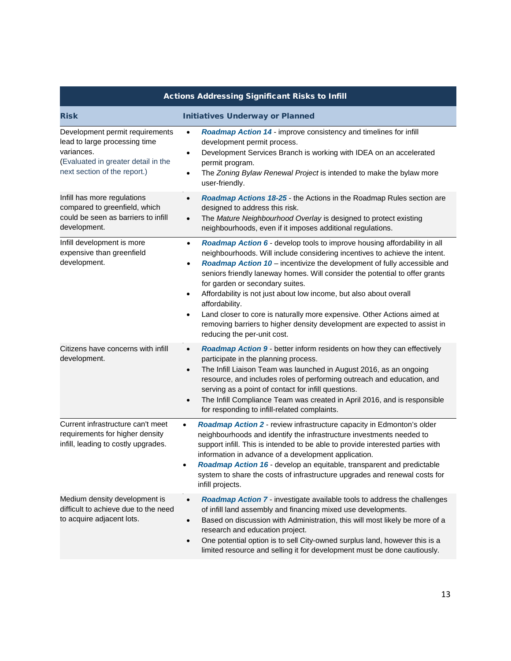| <b>Actions Addressing Significant Risks to Infill</b>                                                                                                 |                                                                                                                                                                                                                                                                                                                                                                                                                                                                                                                                                                                                                                                                                |  |
|-------------------------------------------------------------------------------------------------------------------------------------------------------|--------------------------------------------------------------------------------------------------------------------------------------------------------------------------------------------------------------------------------------------------------------------------------------------------------------------------------------------------------------------------------------------------------------------------------------------------------------------------------------------------------------------------------------------------------------------------------------------------------------------------------------------------------------------------------|--|
| <b>Risk</b>                                                                                                                                           | <b>Initiatives Underway or Planned</b>                                                                                                                                                                                                                                                                                                                                                                                                                                                                                                                                                                                                                                         |  |
| Development permit requirements<br>lead to large processing time<br>variances.<br>(Evaluated in greater detail in the<br>next section of the report.) | Roadmap Action 14 - improve consistency and timelines for infill<br>$\bullet$<br>development permit process.<br>Development Services Branch is working with IDEA on an accelerated<br>$\bullet$<br>permit program.<br>The Zoning Bylaw Renewal Project is intended to make the bylaw more<br>$\bullet$<br>user-friendly.                                                                                                                                                                                                                                                                                                                                                       |  |
| Infill has more regulations<br>compared to greenfield, which<br>could be seen as barriers to infill<br>development.                                   | Roadmap Actions 18-25 - the Actions in the Roadmap Rules section are<br>$\bullet$<br>designed to address this risk.<br>The Mature Neighbourhood Overlay is designed to protect existing<br>$\bullet$<br>neighbourhoods, even if it imposes additional regulations.                                                                                                                                                                                                                                                                                                                                                                                                             |  |
| Infill development is more<br>expensive than greenfield<br>development.                                                                               | Roadmap Action 6 - develop tools to improve housing affordability in all<br>$\bullet$<br>neighbourhoods. Will include considering incentives to achieve the intent.<br>Roadmap Action 10 - incentivize the development of fully accessible and<br>$\bullet$<br>seniors friendly laneway homes. Will consider the potential to offer grants<br>for garden or secondary suites.<br>Affordability is not just about low income, but also about overall<br>$\bullet$<br>affordability.<br>Land closer to core is naturally more expensive. Other Actions aimed at<br>٠<br>removing barriers to higher density development are expected to assist in<br>reducing the per-unit cost. |  |
| Citizens have concerns with infill<br>development.                                                                                                    | Roadmap Action 9 - better inform residents on how they can effectively<br>$\bullet$<br>participate in the planning process.<br>The Infill Liaison Team was launched in August 2016, as an ongoing<br>$\bullet$<br>resource, and includes roles of performing outreach and education, and<br>serving as a point of contact for infill questions.<br>The Infill Compliance Team was created in April 2016, and is responsible<br>٠<br>for responding to infill-related complaints.                                                                                                                                                                                               |  |
| Current infrastructure can't meet<br>requirements for higher density<br>infill, leading to costly upgrades.                                           | Roadmap Action 2 - review infrastructure capacity in Edmonton's older<br>$\bullet$<br>neighbourhoods and identify the infrastructure investments needed to<br>support infill. This is intended to be able to provide interested parties with<br>information in advance of a development application.<br>Roadmap Action 16 - develop an equitable, transparent and predictable<br>system to share the costs of infrastructure upgrades and renewal costs for<br>infill projects.                                                                                                                                                                                                |  |
| Medium density development is<br>difficult to achieve due to the need<br>to acquire adjacent lots.                                                    | Roadmap Action 7 - investigate available tools to address the challenges<br>$\bullet$<br>of infill land assembly and financing mixed use developments.<br>Based on discussion with Administration, this will most likely be more of a<br>$\bullet$<br>research and education project.<br>One potential option is to sell City-owned surplus land, however this is a<br>$\bullet$<br>limited resource and selling it for development must be done cautiously.                                                                                                                                                                                                                   |  |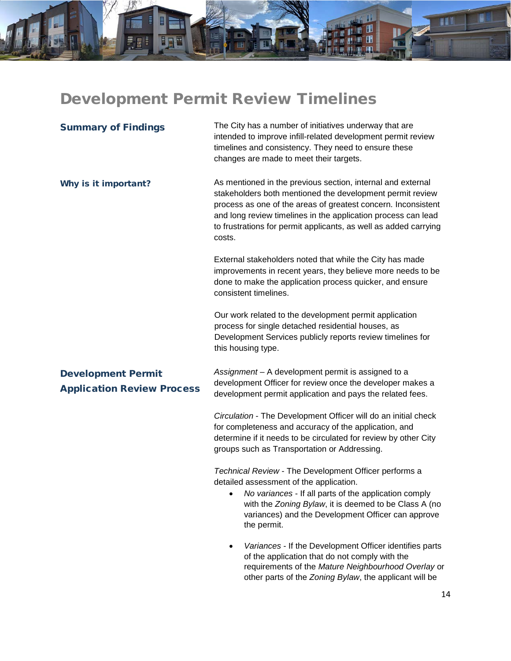# <span id="page-14-0"></span>Development Permit Review Timelines

m

Ē

| <b>Summary of Findings</b>                                     | The City has a number of initiatives underway that are<br>intended to improve infill-related development permit review<br>timelines and consistency. They need to ensure these<br>changes are made to meet their targets.                                                                                                                |
|----------------------------------------------------------------|------------------------------------------------------------------------------------------------------------------------------------------------------------------------------------------------------------------------------------------------------------------------------------------------------------------------------------------|
| Why is it important?                                           | As mentioned in the previous section, internal and external<br>stakeholders both mentioned the development permit review<br>process as one of the areas of greatest concern. Inconsistent<br>and long review timelines in the application process can lead<br>to frustrations for permit applicants, as well as added carrying<br>costs. |
|                                                                | External stakeholders noted that while the City has made<br>improvements in recent years, they believe more needs to be<br>done to make the application process quicker, and ensure<br>consistent timelines.                                                                                                                             |
|                                                                | Our work related to the development permit application<br>process for single detached residential houses, as<br>Development Services publicly reports review timelines for<br>this housing type.                                                                                                                                         |
| <b>Development Permit</b><br><b>Application Review Process</b> | Assignment - A development permit is assigned to a<br>development Officer for review once the developer makes a<br>development permit application and pays the related fees.                                                                                                                                                             |
|                                                                | Circulation - The Development Officer will do an initial check<br>for completeness and accuracy of the application, and<br>determine if it needs to be circulated for review by other City<br>groups such as Transportation or Addressing.                                                                                               |
|                                                                | Technical Review - The Development Officer performs a<br>detailed assessment of the application.<br>• No variances - If all parts of the application comply<br>with the Zoning Bylaw, it is deemed to be Class A (no<br>variances) and the Development Officer can approve<br>the permit.                                                |
|                                                                | Variances - If the Development Officer identifies parts<br>of the application that do not comply with the<br>requirements of the Mature Neighbourhood Overlay or<br>other parts of the Zoning Bylaw, the applicant will be                                                                                                               |

8 V I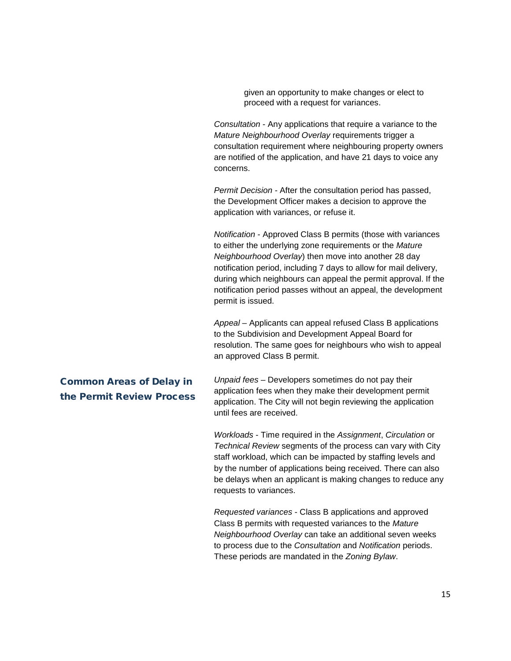given an opportunity to make changes or elect to proceed with a request for variances.

*Consultation* - Any applications that require a variance to the *Mature Neighbourhood Overlay* requirements trigger a consultation requirement where neighbouring property owners are notified of the application, and have 21 days to voice any concerns.

*Permit Decision -* After the consultation period has passed, the Development Officer makes a decision to approve the application with variances, or refuse it.

*Notification* - Approved Class B permits (those with variances to either the underlying zone requirements or the *Mature Neighbourhood Overlay*) then move into another 28 day notification period, including 7 days to allow for mail delivery, during which neighbours can appeal the permit approval. If the notification period passes without an appeal, the development permit is issued.

*Appeal* – Applicants can appeal refused Class B applications to the Subdivision and Development Appeal Board for resolution. The same goes for neighbours who wish to appeal an approved Class B permit.

# Common Areas of Delay in the Permit Review Process

*Unpaid fees* – Developers sometimes do not pay their application fees when they make their development permit application. The City will not begin reviewing the application until fees are received.

*Workloads* - Time required in the *Assignment*, *Circulation* or *Technical Review* segments of the process can vary with City staff workload, which can be impacted by staffing levels and by the number of applications being received. There can also be delays when an applicant is making changes to reduce any requests to variances.

*Requested variances* - Class B applications and approved Class B permits with requested variances to the *Mature Neighbourhood Overlay* can take an additional seven weeks to process due to the *Consultation* and *Notification* periods. These periods are mandated in the *Zoning Bylaw*.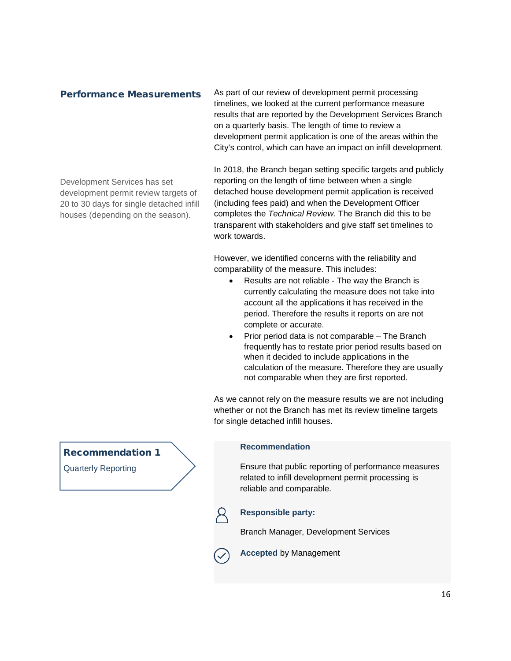# Performance Measurements

Development Services has set development permit review targets of 20 to 30 days for single detached infill houses (depending on the season).

As part of our review of development permit processing timelines, we looked at the current performance measure results that are reported by the Development Services Branch on a quarterly basis. The length of time to review a development permit application is one of the areas within the City's control, which can have an impact on infill development.

In 2018, the Branch began setting specific targets and publicly reporting on the length of time between when a single detached house development permit application is received (including fees paid) and when the Development Officer completes the *Technical Review*. The Branch did this to be transparent with stakeholders and give staff set timelines to work towards.

However, we identified concerns with the reliability and comparability of the measure. This includes:

- Results are not reliable The way the Branch is currently calculating the measure does not take into account all the applications it has received in the period. Therefore the results it reports on are not complete or accurate.
- Prior period data is not comparable The Branch frequently has to restate prior period results based on when it decided to include applications in the calculation of the measure. Therefore they are usually not comparable when they are first reported.

As we cannot rely on the measure results we are not including whether or not the Branch has met its review timeline targets for single detached infill houses.

# **Recommendation**

Ensure that public reporting of performance measures related to infill development permit processing is reliable and comparable.

# **Responsible party:**

Branch Manager, Development Services

**Accepted** by Management

# Recommendation 1

Quarterly Reporting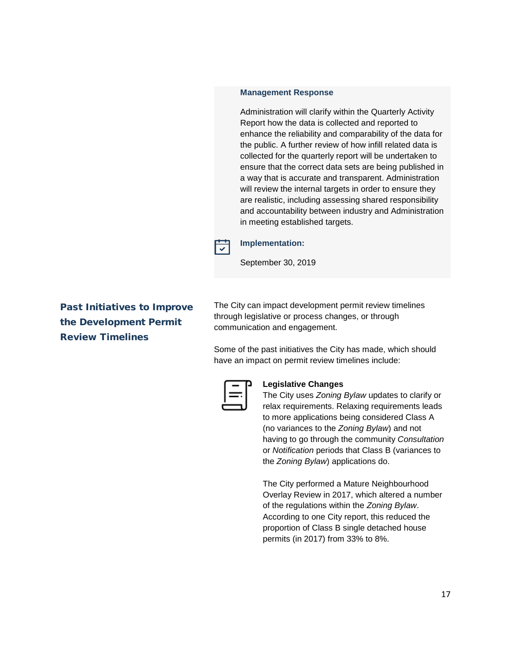### **Management Response**

Administration will clarify within the Quarterly Activity Report how the data is collected and reported to enhance the reliability and comparability of the data for the public. A further review of how infill related data is collected for the quarterly report will be undertaken to ensure that the correct data sets are being published in a way that is accurate and transparent. Administration will review the internal targets in order to ensure they are realistic, including assessing shared responsibility and accountability between industry and Administration in meeting established targets.



# **Implementation:**

September 30, 2019

Past Initiatives to Improve the Development Permit Review Timelines

The City can impact development permit review timelines through legislative or process changes, or through communication and engagement.

Some of the past initiatives the City has made, which should have an impact on permit review timelines include:



### **Legislative Changes**

The City uses *Zoning Bylaw* updates to clarify or relax requirements. Relaxing requirements leads to more applications being considered Class A (no variances to the *Zoning Bylaw*) and not having to go through the community *Consultation* or *Notification* periods that Class B (variances to the *Zoning Bylaw*) applications do.

The City performed a Mature Neighbourhood Overlay Review in 2017, which altered a number of the regulations within the *Zoning Bylaw*. According to one City report, this reduced the proportion of Class B single detached house permits (in 2017) from 33% to 8%.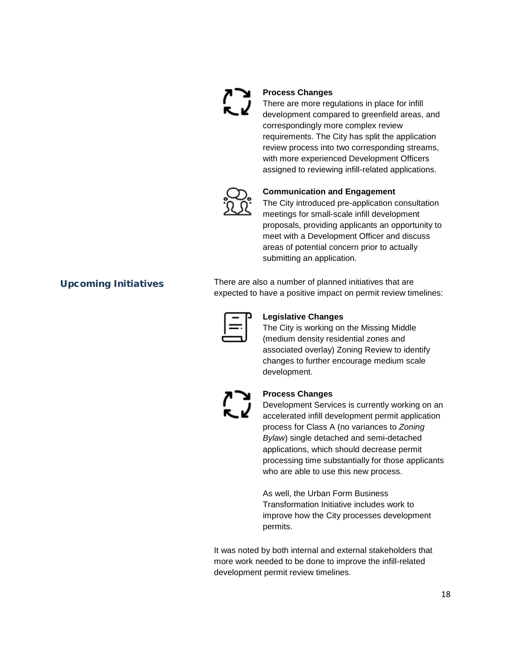

# **Process Changes**

There are more regulations in place for infill development compared to greenfield areas, and correspondingly more complex review requirements. The City has split the application review process into two corresponding streams, with more experienced Development Officers assigned to reviewing infill-related applications.



### **Communication and Engagement**

The City introduced pre-application consultation meetings for small-scale infill development proposals, providing applicants an opportunity to meet with a Development Officer and discuss areas of potential concern prior to actually submitting an application.

Upcoming Initiatives There are also a number of planned initiatives that are expected to have a positive impact on permit review timelines:



### **Legislative Changes**

The City is working on the Missing Middle (medium density residential zones and associated overlay) Zoning Review to identify changes to further encourage medium scale development.



### **Process Changes**

Development Services is currently working on an accelerated infill development permit application process for Class A (no variances to *Zoning Bylaw*) single detached and semi-detached applications, which should decrease permit processing time substantially for those applicants who are able to use this new process.

As well, the Urban Form Business Transformation Initiative includes work to improve how the City processes development permits.

It was noted by both internal and external stakeholders that more work needed to be done to improve the infill-related development permit review timelines.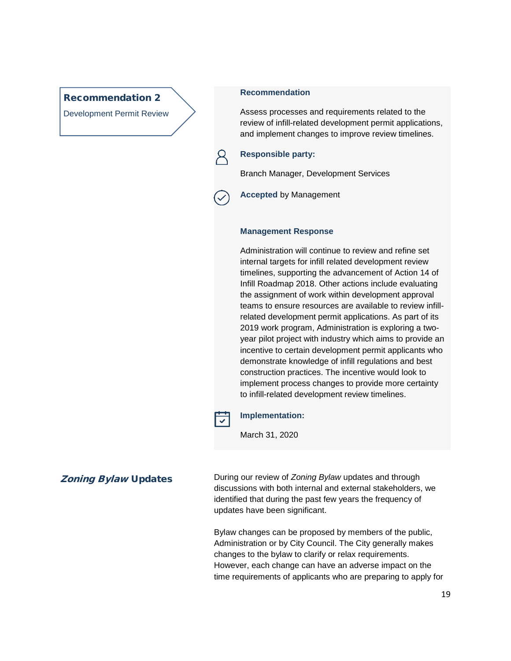# Recommendation 2

Development Permit Review

## **Recommendation**

Assess processes and requirements related to the review of infill-related development permit applications, and implement changes to improve review timelines.

### **Responsible party:**

Branch Manager, Development Services

**Accepted** by Management

### **Management Response**

Administration will continue to review and refine set internal targets for infill related development review timelines, supporting the advancement of Action 14 of Infill Roadmap 2018. Other actions include evaluating the assignment of work within development approval teams to ensure resources are available to review infillrelated development permit applications. As part of its 2019 work program, Administration is exploring a twoyear pilot project with industry which aims to provide an incentive to certain development permit applicants who demonstrate knowledge of infill regulations and best construction practices. The incentive would look to implement process changes to provide more certainty to infill-related development review timelines.



### **Implementation:**

March 31, 2020

**Zoning Bylaw Updates** During our review of *Zoning Bylaw* updates and through discussions with both internal and external stakeholders, we identified that during the past few years the frequency of updates have been significant.

> Bylaw changes can be proposed by members of the public, Administration or by City Council. The City generally makes changes to the bylaw to clarify or relax requirements. However, each change can have an adverse impact on the time requirements of applicants who are preparing to apply for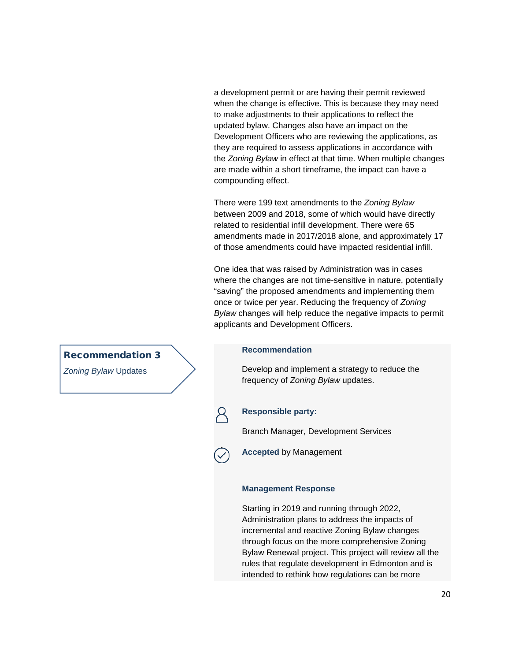a development permit or are having their permit reviewed when the change is effective. This is because they may need to make adjustments to their applications to reflect the updated bylaw. Changes also have an impact on the Development Officers who are reviewing the applications, as they are required to assess applications in accordance with the *Zoning Bylaw* in effect at that time. When multiple changes are made within a short timeframe, the impact can have a compounding effect.

There were 199 text amendments to the *Zoning Bylaw*  between 2009 and 2018, some of which would have directly related to residential infill development. There were 65 amendments made in 2017/2018 alone, and approximately 17 of those amendments could have impacted residential infill.

One idea that was raised by Administration was in cases where the changes are not time-sensitive in nature, potentially "saving" the proposed amendments and implementing them once or twice per year. Reducing the frequency of *Zoning Bylaw* changes will help reduce the negative impacts to permit applicants and Development Officers.

### **Recommendation**

Develop and implement a strategy to reduce the frequency of *Zoning Bylaw* updates.

### **Responsible party:**

Branch Manager, Development Services



**Accepted** by Management

### **Management Response**

Starting in 2019 and running through 2022, Administration plans to address the impacts of incremental and reactive Zoning Bylaw changes through focus on the more comprehensive Zoning Bylaw Renewal project. This project will review all the rules that regulate development in Edmonton and is intended to rethink how regulations can be more

# Recommendation 3

*Zoning Bylaw* Updates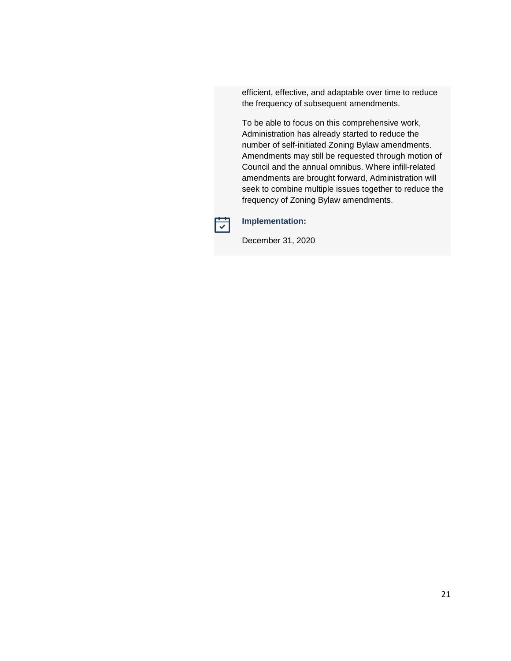efficient, effective, and adaptable over time to reduce the frequency of subsequent amendments.

To be able to focus on this comprehensive work, Administration has already started to reduce the number of self-initiated Zoning Bylaw amendments. Amendments may still be requested through motion of Council and the annual omnibus. Where infill-related amendments are brought forward, Administration will seek to combine multiple issues together to reduce the frequency of Zoning Bylaw amendments.



# **Implementation:**

December 31, 2020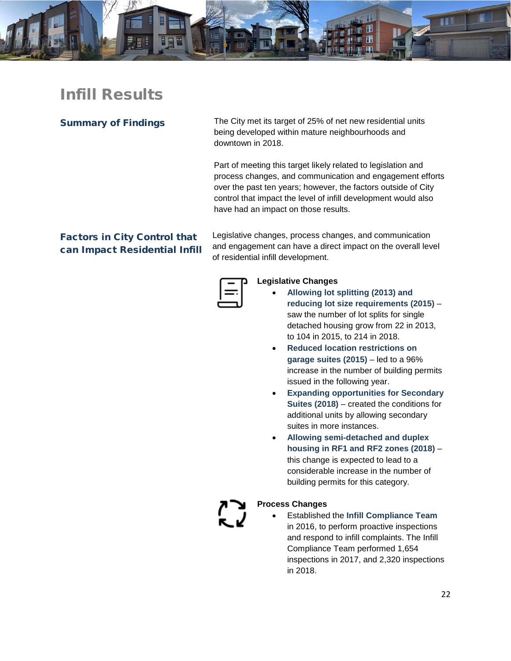

# <span id="page-22-0"></span>Infill Results

Summary of Findings The City met its target of 25% of net new residential units being developed within mature neighbourhoods and downtown in 2018.

> Part of meeting this target likely related to legislation and process changes, and communication and engagement efforts over the past ten years; however, the factors outside of City control that impact the level of infill development would also have had an impact on those results.

# Factors in City Control that can Impact Residential Infill

Legislative changes, process changes, and communication and engagement can have a direct impact on the overall level of residential infill development.

# **Legislative Changes**

- **Allowing lot splitting (2013) and reducing lot size requirements (2015)** – saw the number of lot splits for single detached housing grow from 22 in 2013, to 104 in 2015, to 214 in 2018.
- **Reduced location restrictions on garage suites (2015)** – led to a 96% increase in the number of building permits issued in the following year.
- **Expanding opportunities for Secondary Suites (2018)** – created the conditions for additional units by allowing secondary suites in more instances.
- **Allowing semi-detached and duplex housing in RF1 and RF2 zones (2018)** – this change is expected to lead to a considerable increase in the number of building permits for this category.

## **Process Changes**

• Established the **Infill Compliance Team** in 2016, to perform proactive inspections and respond to infill complaints. The Infill Compliance Team performed 1,654 inspections in 2017, and 2,320 inspections in 2018.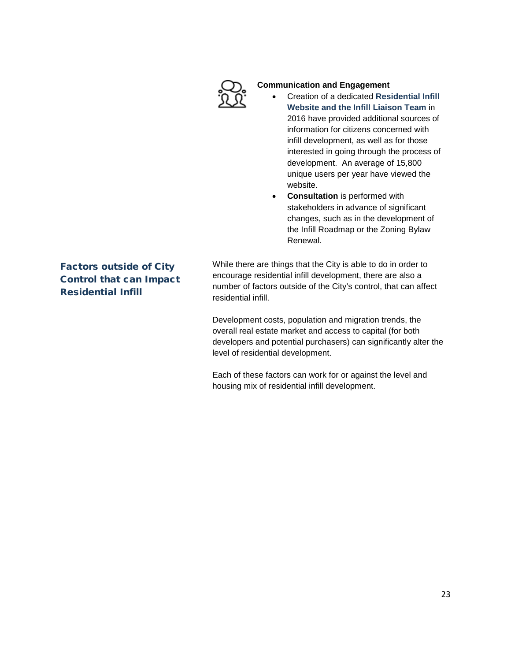

# **Communication and Engagement**

- Creation of a dedicated **Residential Infill Website and the Infill Liaison Team** in 2016 have provided additional sources of information for citizens concerned with infill development, as well as for those interested in going through the process of development. An average of 15,800 unique users per year have viewed the website.
- **Consultation** is performed with stakeholders in advance of significant changes, such as in the development of the Infill Roadmap or the Zoning Bylaw Renewal.

Factors outside of City Control that can Impact Residential Infill

While there are things that the City is able to do in order to encourage residential infill development, there are also a number of factors outside of the City's control, that can affect residential infill.

Development costs, population and migration trends, the overall real estate market and access to capital (for both developers and potential purchasers) can significantly alter the level of residential development.

Each of these factors can work for or against the level and housing mix of residential infill development.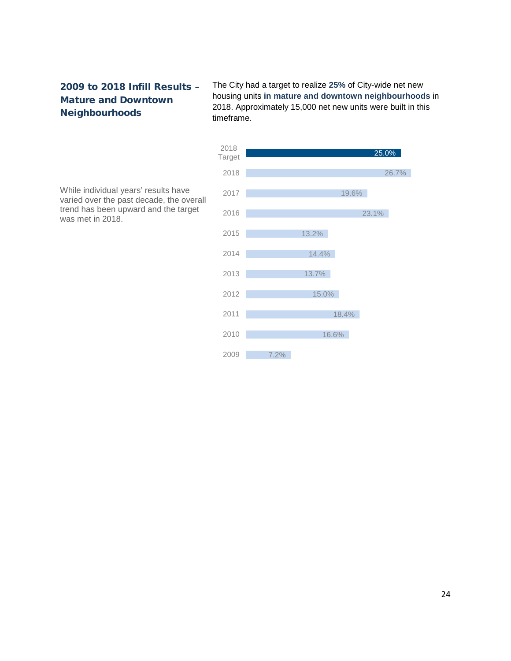# 2009 to 2018 Infill Results – Mature and Downtown Neighbourhoods

The City had a target to realize **25%** of City-wide net new housing units **in mature and downtown neighbourhoods** in 2018. Approximately 15,000 net new units were built in this timeframe.



While individual years' results have varied over the past decade, the overall trend has been upward and the target was met in 2018.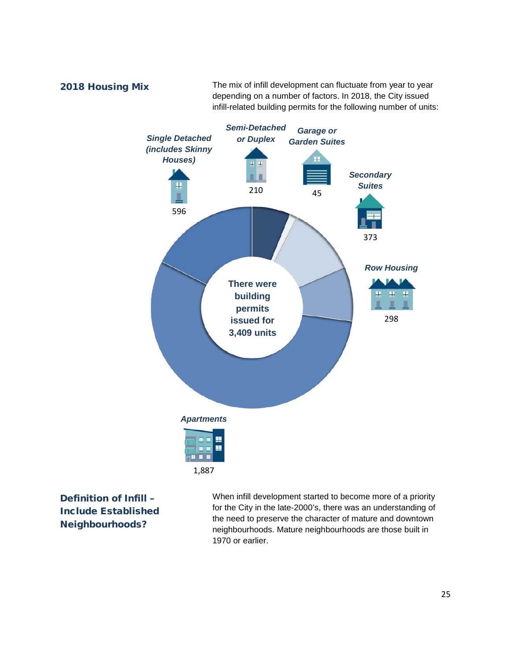2018 Housing Mix The mix of infill development can fluctuate from year to year depending on a number of factors. In 2018, the City issued infill-related building permits for the following number of units:



Definition of Infill – Include Established Neighbourhoods?

When infill development started to become more of a priority for the City in the late-2000's, there was an understanding of the need to preserve the character of mature and downtown neighbourhoods. Mature neighbourhoods are those built in 1970 or earlier.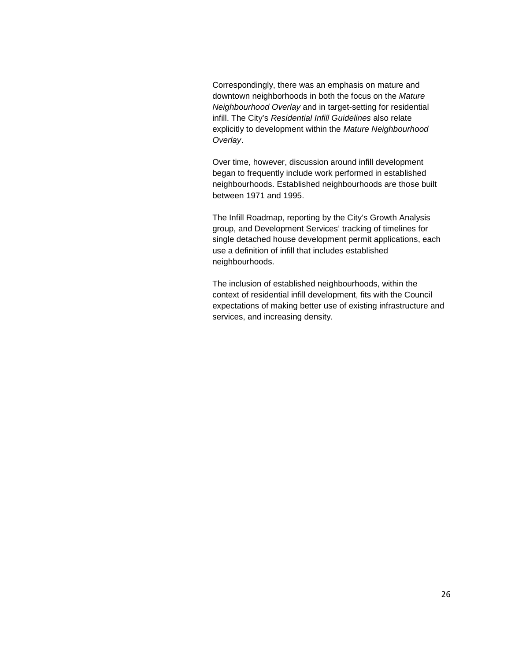Correspondingly, there was an emphasis on mature and downtown neighborhoods in both the focus on the *Mature Neighbourhood Overlay* and in target-setting for residential infill. The City's *Residential Infill Guidelines* also relate explicitly to development within the *Mature Neighbourhood Overlay*.

Over time, however, discussion around infill development began to frequently include work performed in established neighbourhoods. Established neighbourhoods are those built between 1971 and 1995.

The Infill Roadmap, reporting by the City's Growth Analysis group, and Development Services' tracking of timelines for single detached house development permit applications, each use a definition of infill that includes established neighbourhoods.

The inclusion of established neighbourhoods, within the context of residential infill development, fits with the Council expectations of making better use of existing infrastructure and services, and increasing density.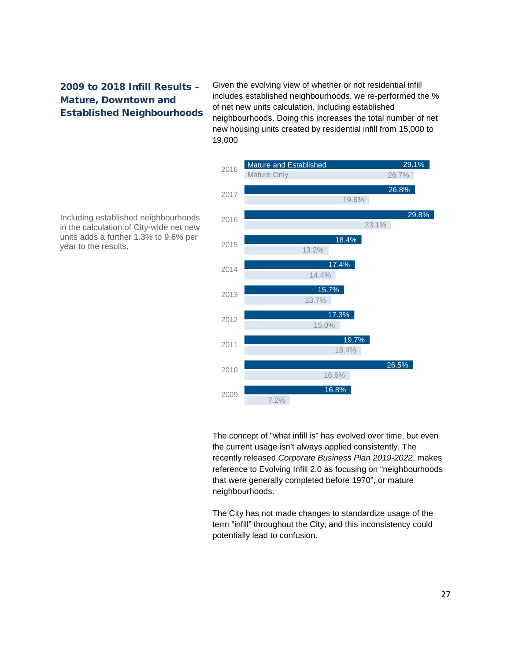# 2009 to 2018 Infill Results – Mature, Downtown and Established Neighbourhoods

Given the evolving view of whether or not residential infill includes established neighbourhoods, we re-performed the % of net new units calculation, including established neighbourhoods. Doing this increases the total number of net new housing units created by residential infill from 15,000 to 19,000



Including established neighbourhoods in the calculation of City-wide net new units adds a further 1.3% to 9.6% per year to the results.

> The concept of "what infill is" has evolved over time, but even the current usage isn't always applied consistently. The recently released *Corporate Business Plan 2019-2022*, makes reference to Evolving Infill 2.0 as focusing on "neighbourhoods that were generally completed before 1970", or mature neighbourhoods.

The City has not made changes to standardize usage of the term "infill" throughout the City, and this inconsistency could potentially lead to confusion.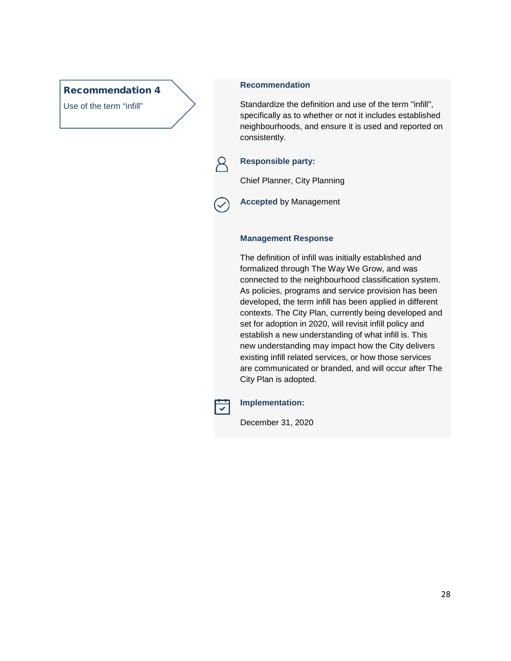# Recommendation 4

Use of the term "infill"

# **Recommendation**

Standardize the definition and use of the term "infill", specifically as to whether or not it includes established neighbourhoods, and ensure it is used and reported on consistently.

# **Responsible party:**

Chief Planner, City Planning

**Accepted** by Management

## **Management Response**

The definition of infill was initially established and formalized through The Way We Grow, and was connected to the neighbourhood classification system. As policies, programs and service provision has been developed, the term infill has been applied in different contexts. The City Plan, currently being developed and set for adoption in 2020, will revisit infill policy and establish a new understanding of what infill is. This new understanding may impact how the City delivers existing infill related services, or how those services are communicated or branded, and will occur after The City Plan is adopted.



## **Implementation:**

December 31, 2020